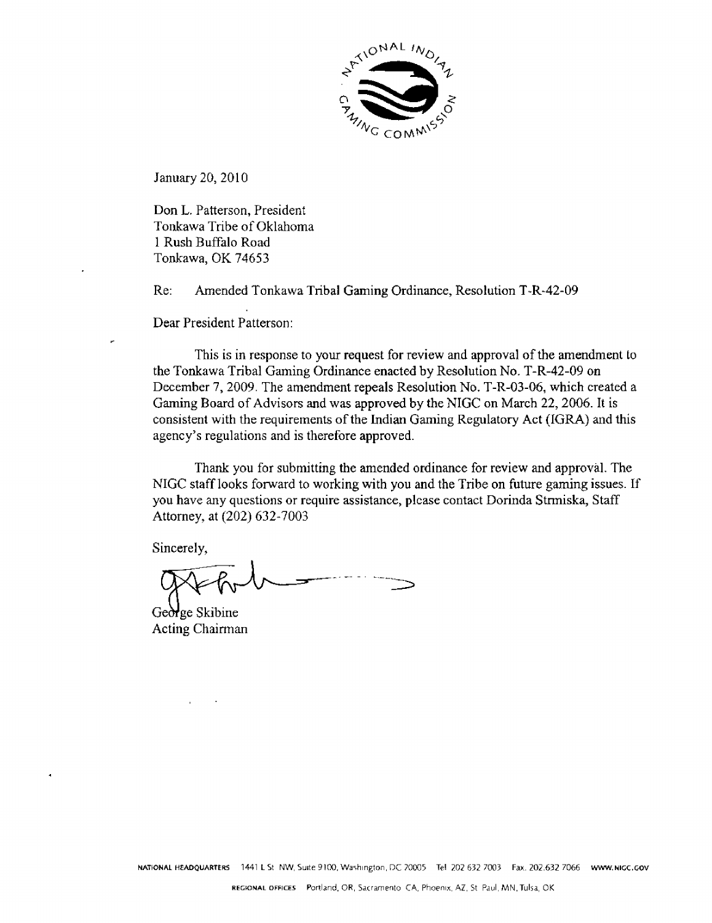

January 20, 2010

Don L. Patterson, President Tonkawa Tribe of Oklahoma 1 Rush Buffalo Road Tonkawa, OK 74653

Re: Amended Tonkawa Tribal Gaming Ordinance, Resolution T-R-42-09

Dear President Patterson

This is **in** response to **your request for** review and approval of the amendment to the **Tonkawa** Tribal Gaming Ordinance enacted by Resolution No. **T-R-42-09 on**  December 7,2009. The amendment repeals Resolution No. T-R-03-06, which created a Gaming Board of Advisors and was approved by the NIGC **on** March 22,2006. It is consistent with the requirements of the Indian Gaming Regulatory **Act** (IGRA) and this agency's regulations **and** is therefore **approved.** 

Thank you for submitting **the** amended ordinance for review and approval. The NIGC staff looks fonvard to working with you and the Tribe on future gaming issues. If you have any questions or require assistance, plcase contact Dorinda **Strmiska,** Staff Attorney, **at** (202) 632-7003

Sincerely,

**v** 

**~eX)~e** Skibine **Acting** Chairman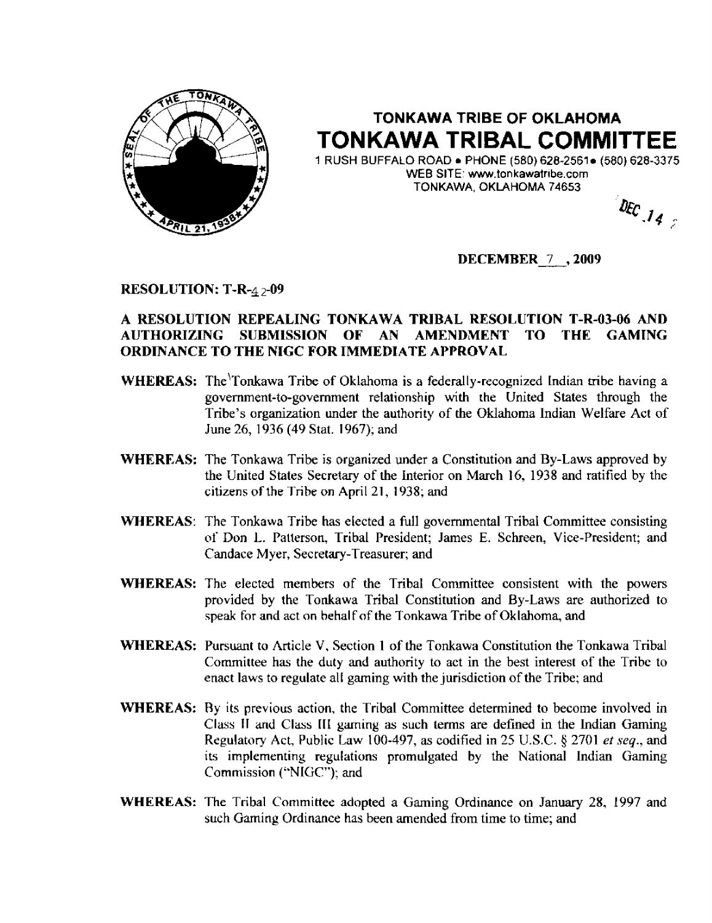

## **TONKAWA TRIBE OF OKLAHOMA TONKAWA TRIBAL COMMITTEE**

**1 RUSH BUFFALO ROAD PHONE (580) 628-2561 (580) 628-3375 WEB SITE'** www. **tonkawatrrbe.com TONKAWA, OKLAHOMA 74653** 

DEC  $\int_{\mathcal{A}_{\mathcal{L}}}$ 

**DECEMBER** 7 **,2009** 

**RESOLUTION: T-R-4** 2-09

## **A RESOLUTION REPEALING TONKAWA TRIBAL RESOLUTION T-R-03-06 AND AUTHORIZING SUBMISSION OF AN AMENDMENT TO THE GAMING ORDINANCE TO THE NIGC FOR IMMEDIATE APPROVAL**

- **WHEREAS:** The Tonkawa Tribe of Oklahoma is a *federally-recognized* Indian tribe having a **government-to-government** relationship with the United States through the **Tribe's organization** under the authority **of the Oklahoma Indian Welfare Act of**  June **26, 1936 (49 Stat. 1967); and**
- **WHEREAS:** The Tonkawa Tribe **is organized under a Constitution** and **By-Laws approved by the United States Secretary of the Interior on March 16, 1938 and ratified by the citizens of the Tribe on April 21, 1938; and**
- **WHEREAS:** The **Tonkawa** Tribe **has elected a full governmental Tribal Committee consisting**  of **Don L. Patterson, Tribal President; James E. Schreen, Vice-President; and Candace M yer, Secretary-Treasurer; and**
- **WHEREAS:** The **elected members** of **the Tribal** Committee **consistent with the powers**  provided **by the Tonkawa Tribal Constitution and By-Laws are** authorized **to speak** for **and act on hehal** f **of the Tonkawa Tribe** of **Oklahoma, and**
- **WHEREAS:** Pursuant **to Article** V, **Section 1 of the Tonkawa Constitution the Tonkawa Tribal Committee has the duty and** authority **to act in the** best **interest of the** Tribe **to enact laws to regulate al** I **gaming with the jurisdiction** of the **Tribe; and**
- **WHEREAS: Ry its previous** action, **the** Tribal Committee determined **to** become involved **in Class II and Class III gaming as such terms are defined in the Indian Gaming Regulatory Act,** Public **taw 100-497, as** codified **in 25 U.S.C. 5** 2701 *et* **seq., and its implementing regulations promulgated by the National Indian Gaming Comnlission** ("NLGC"); and
- **WHEREAS:** The Tribal Committee adopted a Gaming Ordinance on January 28, 1997 and such Gaming **Ordinance** has **been amended from time to time; and**